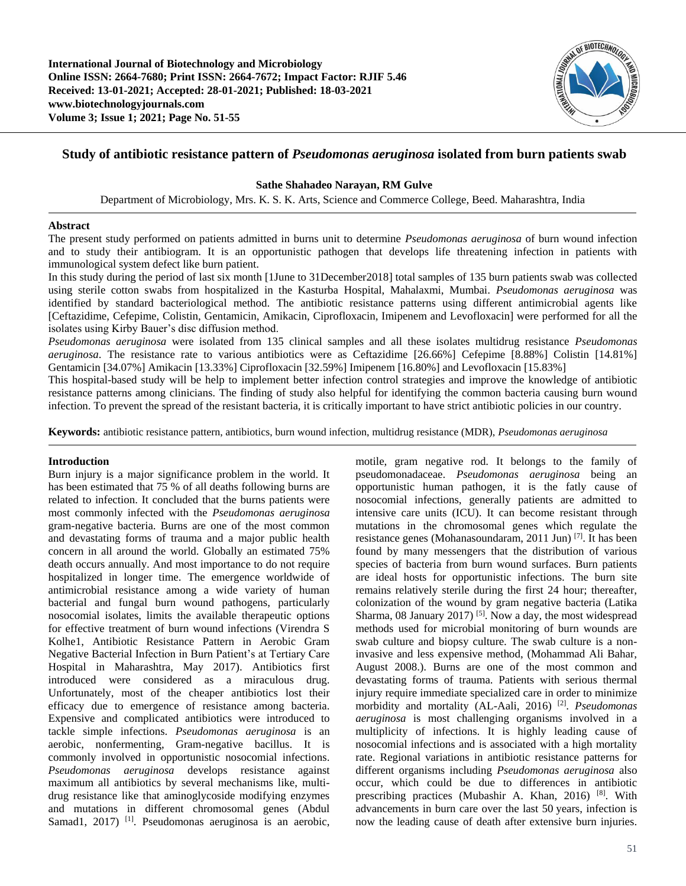

# **Study of antibiotic resistance pattern of** *Pseudomonas aeruginosa* **isolated from burn patients swab**

# **Sathe Shahadeo Narayan, RM Gulve**

Department of Microbiology, Mrs. K. S. K. Arts, Science and Commerce College, Beed. Maharashtra, India

## **Abstract**

The present study performed on patients admitted in burns unit to determine *Pseudomonas aeruginosa* of burn wound infection and to study their antibiogram. It is an opportunistic pathogen that develops life threatening infection in patients with immunological system defect like burn patient.

In this study during the period of last six month [1June to 31December2018] total samples of 135 burn patients swab was collected using sterile cotton swabs from hospitalized in the Kasturba Hospital, Mahalaxmi, Mumbai. *Pseudomonas aeruginosa* was identified by standard bacteriological method. The antibiotic resistance patterns using different antimicrobial agents like [Ceftazidime, Cefepime, Colistin, Gentamicin, Amikacin, Ciprofloxacin, Imipenem and Levofloxacin] were performed for all the isolates using Kirby Bauer's disc diffusion method.

*Pseudomonas aeruginosa* were isolated from 135 clinical samples and all these isolates multidrug resistance *Pseudomonas aeruginosa*. The resistance rate to various antibiotics were as Ceftazidime [26.66%] Cefepime [8.88%] Colistin [14.81%] Gentamicin [34.07%] Amikacin [13.33%] Ciprofloxacin [32.59%] Imipenem [16.80%] and Levofloxacin [15.83%]

This hospital-based study will be help to implement better infection control strategies and improve the knowledge of antibiotic resistance patterns among clinicians. The finding of study also helpful for identifying the common bacteria causing burn wound infection. To prevent the spread of the resistant bacteria, it is critically important to have strict antibiotic policies in our country.

**Keywords:** antibiotic resistance pattern, antibiotics, burn wound infection, multidrug resistance (MDR), *Pseudomonas aeruginosa*

# **Introduction**

Burn injury is a major significance problem in the world. It has been estimated that 75 % of all deaths following burns are related to infection. It concluded that the burns patients were most commonly infected with the *Pseudomonas aeruginosa* gram-negative bacteria. Burns are one of the most common and devastating forms of trauma and a major public health concern in all around the world. Globally an estimated 75% death occurs annually. And most importance to do not require hospitalized in longer time. The emergence worldwide of antimicrobial resistance among a wide variety of human bacterial and fungal burn wound pathogens, particularly nosocomial isolates, limits the available therapeutic options for effective treatment of burn wound infections (Virendra S Kolhe1, Antibiotic Resistance Pattern in Aerobic Gram Negative Bacterial Infection in Burn Patient's at Tertiary Care Hospital in Maharashtra, May 2017). Antibiotics first introduced were considered as a miraculous drug. Unfortunately, most of the cheaper antibiotics lost their efficacy due to emergence of resistance among bacteria. Expensive and complicated antibiotics were introduced to tackle simple infections. *Pseudomonas aeruginosa* is an aerobic, nonfermenting, Gram-negative bacillus. It is commonly involved in opportunistic nosocomial infections. *Pseudomonas aeruginosa* develops resistance against maximum all antibiotics by several mechanisms like, multidrug resistance like that aminoglycoside modifying enzymes and mutations in different chromosomal genes (Abdul Samad1, 2017) <sup>[1]</sup>. Pseudomonas aeruginosa is an aerobic,

motile, gram negative rod. It belongs to the family of pseudomonadaceae. *Pseudomonas aeruginosa* being an opportunistic human pathogen, it is the fatly cause of nosocomial infections, generally patients are admitted to intensive care units (ICU). It can become resistant through mutations in the chromosomal genes which regulate the resistance genes (Mohanasoundaram, 2011 Jun) [7]. It has been found by many messengers that the distribution of various species of bacteria from burn wound surfaces. Burn patients are ideal hosts for opportunistic infections. The burn site remains relatively sterile during the first 24 hour; thereafter, colonization of the wound by gram negative bacteria (Latika Sharma, 08 January 2017) <sup>[5]</sup>. Now a day, the most widespread methods used for microbial monitoring of burn wounds are swab culture and biopsy culture. The swab culture is a noninvasive and less expensive method, (Mohammad Ali Bahar, August 2008.). Burns are one of the most common and devastating forms of trauma. Patients with serious thermal injury require immediate specialized care in order to minimize morbidity and mortality (AL-Aali, 2016) [2] . *Pseudomonas aeruginosa* is most challenging organisms involved in a multiplicity of infections. It is highly leading cause of nosocomial infections and is associated with a high mortality rate. Regional variations in antibiotic resistance patterns for different organisms including *Pseudomonas aeruginosa* also occur, which could be due to differences in antibiotic prescribing practices (Mubashir A. Khan, 2016) [8]. With advancements in burn care over the last 50 years, infection is now the leading cause of death after extensive burn injuries.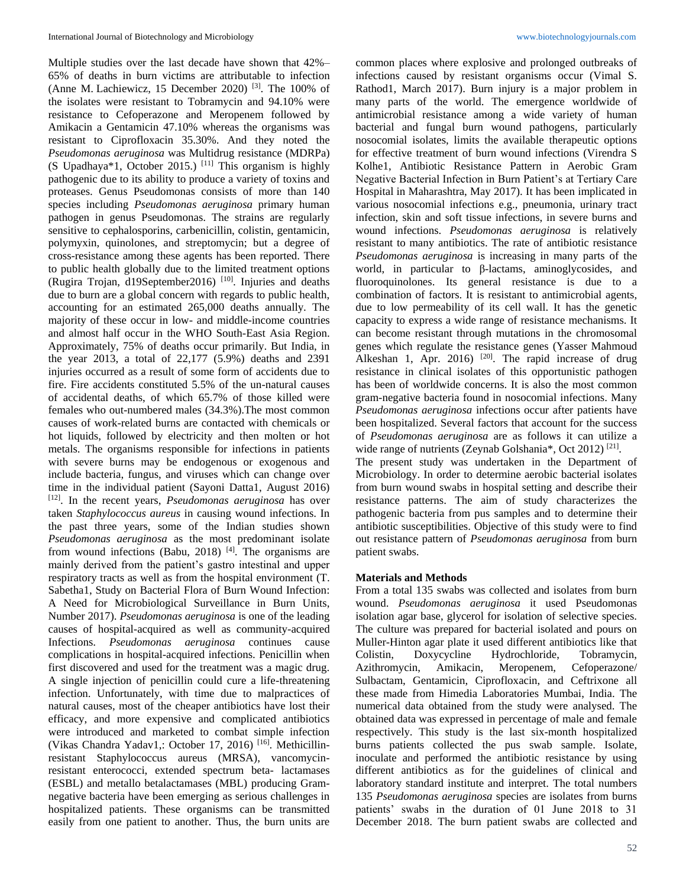Multiple studies over the last decade have shown that 42%– 65% of deaths in burn victims are attributable to infection (Anne M. Lachiewicz, 15 December 2020)  $^{[3]}$ . The 100% of the isolates were resistant to Tobramycin and 94.10% were resistance to Cefoperazone and Meropenem followed by Amikacin a Gentamicin 47.10% whereas the organisms was resistant to Ciprofloxacin 35.30%. And they noted the *Pseudomonas aeruginosa* was Multidrug resistance (MDRPa) (S Upadhaya\*1, October 2015.) [11] This organism is highly pathogenic due to its ability to produce a variety of toxins and proteases. Genus Pseudomonas consists of more than 140 species including *Pseudomonas aeruginosa* primary human pathogen in genus Pseudomonas. The strains are regularly sensitive to cephalosporins, carbenicillin, colistin, gentamicin, polymyxin, quinolones, and streptomycin; but a degree of cross-resistance among these agents has been reported. There to public health globally due to the limited treatment options (Rugira Trojan, d19September2016) [10]. Injuries and deaths due to burn are a global concern with regards to public health, accounting for an estimated 265,000 deaths annually. The majority of these occur in low- and middle-income countries and almost half occur in the WHO South-East Asia Region. Approximately, 75% of deaths occur primarily. But India, in the year 2013, a total of 22,177 (5.9%) deaths and 2391 injuries occurred as a result of some form of accidents due to fire. Fire accidents constituted 5.5% of the un-natural causes of accidental deaths, of which 65.7% of those killed were females who out-numbered males (34.3%).The most common causes of work-related burns are contacted with chemicals or hot liquids, followed by electricity and then molten or hot metals. The organisms responsible for infections in patients with severe burns may be endogenous or exogenous and include bacteria, fungus, and viruses which can change over time in the individual patient (Sayoni Datta1, August 2016) [12]. In the recent years, *Pseudomonas aeruginosa* has over taken *Staphylococcus aureus* in causing wound infections. In the past three years, some of the Indian studies shown *Pseudomonas aeruginosa* as the most predominant isolate from wound infections (Babu, 2018)  $[4]$ . The organisms are mainly derived from the patient's gastro intestinal and upper respiratory tracts as well as from the hospital environment (T. Sabetha1, Study on Bacterial Flora of Burn Wound Infection: A Need for Microbiological Surveillance in Burn Units, Number 2017). *Pseudomonas aeruginosa* is one of the leading causes of hospital-acquired as well as community-acquired Infections. *Pseudomonas aeruginosa* continues cause complications in hospital-acquired infections. Penicillin when first discovered and used for the treatment was a magic drug. A single injection of penicillin could cure a life-threatening infection. Unfortunately, with time due to malpractices of natural causes, most of the cheaper antibiotics have lost their efficacy, and more expensive and complicated antibiotics were introduced and marketed to combat simple infection (Vikas Chandra Yadav1,: October 17, 2016) [16]. Methicillinresistant Staphylococcus aureus (MRSA), vancomycinresistant enterococci, extended spectrum beta- lactamases (ESBL) and metallo betalactamases (MBL) producing Gramnegative bacteria have been emerging as serious challenges in hospitalized patients. These organisms can be transmitted easily from one patient to another. Thus, the burn units are

common places where explosive and prolonged outbreaks of infections caused by resistant organisms occur (Vimal S. Rathod1, March 2017). Burn injury is a major problem in many parts of the world. The emergence worldwide of antimicrobial resistance among a wide variety of human bacterial and fungal burn wound pathogens, particularly nosocomial isolates, limits the available therapeutic options for effective treatment of burn wound infections (Virendra S Kolhe1, Antibiotic Resistance Pattern in Aerobic Gram Negative Bacterial Infection in Burn Patient's at Tertiary Care Hospital in Maharashtra, May 2017). It has been implicated in various nosocomial infections e.g., pneumonia, urinary tract infection, skin and soft tissue infections, in severe burns and wound infections. *Pseudomonas aeruginosa* is relatively resistant to many antibiotics. The rate of antibiotic resistance *Pseudomonas aeruginosa* is increasing in many parts of the world, in particular to β-lactams, aminoglycosides, and fluoroquinolones. Its general resistance is due to a combination of factors. It is resistant to antimicrobial agents, due to low permeability of its cell wall. It has the genetic capacity to express a wide range of resistance mechanisms. It can become resistant through mutations in the chromosomal genes which regulate the resistance genes (Yasser Mahmoud Alkeshan 1, Apr. 2016)  $[20]$ . The rapid increase of drug resistance in clinical isolates of this opportunistic pathogen has been of worldwide concerns. It is also the most common gram-negative bacteria found in nosocomial infections. Many *Pseudomonas aeruginosa* infections occur after patients have been hospitalized. Several factors that account for the success of *Pseudomonas aeruginosa* are as follows it can utilize a wide range of nutrients (Zeynab Golshania\*, Oct 2012)<sup>[21]</sup>.

The present study was undertaken in the Department of Microbiology. In order to determine aerobic bacterial isolates from burn wound swabs in hospital setting and describe their resistance patterns. The aim of study characterizes the pathogenic bacteria from pus samples and to determine their antibiotic susceptibilities. Objective of this study were to find out resistance pattern of *Pseudomonas aeruginosa* from burn patient swabs.

### **Materials and Methods**

From a total 135 swabs was collected and isolates from burn wound. *Pseudomonas aeruginosa* it used Pseudomonas isolation agar base, glycerol for isolation of selective species. The culture was prepared for bacterial isolated and pours on Muller-Hinton agar plate it used different antibiotics like that Colistin, Doxycycline Hydrochloride, Tobramycin, Azithromycin, Amikacin, Meropenem, Cefoperazone/ Sulbactam, Gentamicin, Ciprofloxacin, and Ceftrixone all these made from Himedia Laboratories Mumbai, India. The numerical data obtained from the study were analysed. The obtained data was expressed in percentage of male and female respectively. This study is the last six-month hospitalized burns patients collected the pus swab sample. Isolate, inoculate and performed the antibiotic resistance by using different antibiotics as for the guidelines of clinical and laboratory standard institute and interpret. The total numbers 135 *Pseudomonas aeruginosa* species are isolates from burns patients' swabs in the duration of 01 June 2018 to 31 December 2018. The burn patient swabs are collected and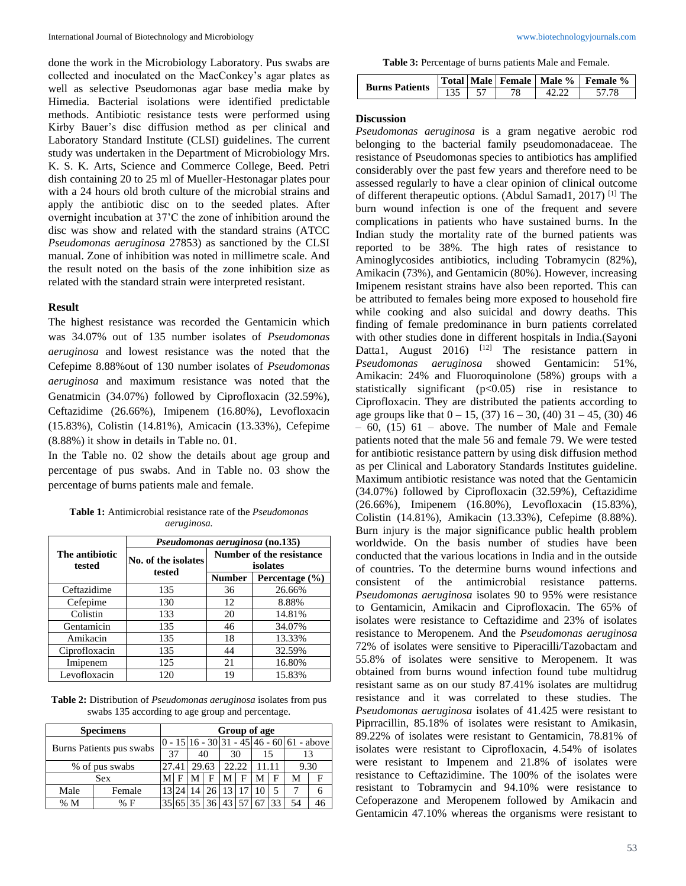done the work in the Microbiology Laboratory. Pus swabs are collected and inoculated on the MacConkey's agar plates as well as selective Pseudomonas agar base media make by Himedia. Bacterial isolations were identified predictable methods. Antibiotic resistance tests were performed using Kirby Bauer's disc diffusion method as per clinical and Laboratory Standard Institute (CLSI) guidelines. The current study was undertaken in the Department of Microbiology Mrs. K. S. K. Arts, Science and Commerce College, Beed. Petri dish containing 20 to 25 ml of Mueller-Hestonagar plates pour with a 24 hours old broth culture of the microbial strains and apply the antibiotic disc on to the seeded plates. After overnight incubation at 37'C the zone of inhibition around the disc was show and related with the standard strains (ATCC *Pseudomonas aeruginosa* 27853) as sanctioned by the CLSI manual. Zone of inhibition was noted in millimetre scale. And the result noted on the basis of the zone inhibition size as related with the standard strain were interpreted resistant.

# **Result**

The highest resistance was recorded the Gentamicin which was 34.07% out of 135 number isolates of *Pseudomonas aeruginosa* and lowest resistance was the noted that the Cefepime 8.88%out of 130 number isolates of *Pseudomonas aeruginosa* and maximum resistance was noted that the Genatmicin (34.07%) followed by Ciprofloxacin (32.59%), Ceftazidime (26.66%), Imipenem (16.80%), Levofloxacin (15.83%), Colistin (14.81%), Amicacin (13.33%), Cefepime (8.88%) it show in details in Table no. 01.

In the Table no. 02 show the details about age group and percentage of pus swabs. And in Table no. 03 show the percentage of burns patients male and female.

**Table 1:** Antimicrobial resistance rate of the *Pseudomonas aeruginosa.*

|                          | Pseudomonas aeruginosa (no.135) |                                      |                    |  |  |  |
|--------------------------|---------------------------------|--------------------------------------|--------------------|--|--|--|
| The antibiotic<br>tested | No. of the isolates<br>tested   | Number of the resistance<br>isolates |                    |  |  |  |
|                          |                                 | <b>Number</b>                        | Percentage $(\% )$ |  |  |  |
| Ceftazidime              | 135                             | 36                                   | 26.66%             |  |  |  |
| Cefepime                 | 130                             | 12                                   | 8.88%              |  |  |  |
| Colistin                 | 133                             | 20                                   | 14.81%             |  |  |  |
| Gentamicin               | 135                             | 46                                   | 34.07%             |  |  |  |
| Amikacin                 | 135                             | 18                                   | 13.33%             |  |  |  |
| Ciprofloxacin            | 135                             | 44                                   | 32.59%             |  |  |  |
| Imipenem                 | 125                             | 21                                   | 16.80%             |  |  |  |
| Levofloxacin             | 120                             | 19                                   | 15.83%             |  |  |  |

**Table 2:** Distribution of *Pseudomonas aeruginosa* isolates from pus swabs 135 according to age group and percentage.

|                          | <b>Specimens</b> | Group of age |  |    |       |       |   |    |     |                                             |    |
|--------------------------|------------------|--------------|--|----|-------|-------|---|----|-----|---------------------------------------------|----|
| Burns Patients pus swabs |                  |              |  |    |       |       |   |    |     | $0 - 15 16 - 30 31 - 45 46 - 60 61$ - above |    |
|                          |                  | 37           |  | 40 |       | 30    |   |    | 15  |                                             | 13 |
| % of pus swabs           |                  | 27.41        |  |    | 29.63 | 22.22 |   |    | -11 | 9.30                                        |    |
|                          | Sex              |              |  |    | F     |       | F | М  | F   | М                                           | F  |
| Male                     | Female           | 13           |  |    |       | 13    |   | 10 |     |                                             | 6  |
| % M                      | % F              |              |  |    |       |       |   |    | 33  | 54                                          | 46 |

**Table 3:** Percentage of burns patients Male and Female.

| <b>Burns Patients</b> |  | Total   Male   Female   Male % | Female % |  |  |
|-----------------------|--|--------------------------------|----------|--|--|
|                       |  |                                |          |  |  |

### **Discussion**

*Pseudomonas aeruginosa* is a gram negative aerobic rod belonging to the bacterial family pseudomonadaceae. The resistance of Pseudomonas species to antibiotics has amplified considerably over the past few years and therefore need to be assessed regularly to have a clear opinion of clinical outcome of different therapeutic options. (Abdul Samad1, 2017) [1] The burn wound infection is one of the frequent and severe complications in patients who have sustained burns. In the Indian study the mortality rate of the burned patients was reported to be 38%. The high rates of resistance to Aminoglycosides antibiotics, including Tobramycin (82%), Amikacin (73%), and Gentamicin (80%). However, increasing Imipenem resistant strains have also been reported. This can be attributed to females being more exposed to household fire while cooking and also suicidal and dowry deaths. This finding of female predominance in burn patients correlated with other studies done in different hospitals in India.(Sayoni Datta1, August 2016) <sup>[12]</sup> The resistance pattern in *Pseudomonas aeruginosa* showed Gentamicin: 51%, Amikacin: 24% and Fluoroquinolone (58%) groups with a statistically significant  $(p<0.05)$  rise in resistance to Ciprofloxacin. They are distributed the patients according to age groups like that  $0 - 15$ , (37)  $16 - 30$ , (40)  $31 - 45$ , (30) 46  $-60$ , (15) 61 – above. The number of Male and Female patients noted that the male 56 and female 79. We were tested for antibiotic resistance pattern by using disk diffusion method as per Clinical and Laboratory Standards Institutes guideline. Maximum antibiotic resistance was noted that the Gentamicin (34.07%) followed by Ciprofloxacin (32.59%), Ceftazidime (26.66%), Imipenem (16.80%), Levofloxacin (15.83%), Colistin (14.81%), Amikacin (13.33%), Cefepime (8.88%). Burn injury is the major significance public health problem worldwide. On the basis number of studies have been conducted that the various locations in India and in the outside of countries. To the determine burns wound infections and consistent of the antimicrobial resistance patterns. *Pseudomonas aeruginosa* isolates 90 to 95% were resistance to Gentamicin, Amikacin and Ciprofloxacin. The 65% of isolates were resistance to Ceftazidime and 23% of isolates resistance to Meropenem. And the *Pseudomonas aeruginosa* 72% of isolates were sensitive to Piperacilli/Tazobactam and 55.8% of isolates were sensitive to Meropenem. It was obtained from burns wound infection found tube multidrug resistant same as on our study 87.41% isolates are multidrug resistance and it was correlated to these studies. The *Pseudomonas aeruginosa* isolates of 41.425 were resistant to Piprracillin, 85.18% of isolates were resistant to Amikasin, 89.22% of isolates were resistant to Gentamicin, 78.81% of isolates were resistant to Ciprofloxacin, 4.54% of isolates were resistant to Impenem and 21.8% of isolates were resistance to Ceftazidimine. The 100% of the isolates were resistant to Tobramycin and 94.10% were resistance to Cefoperazone and Meropenem followed by Amikacin and Gentamicin 47.10% whereas the organisms were resistant to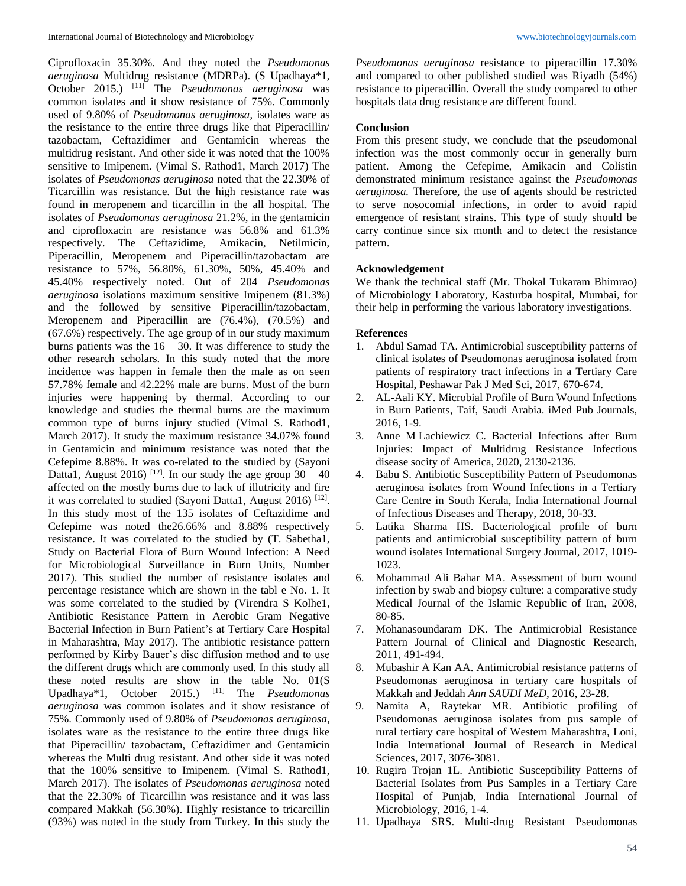Ciprofloxacin 35.30%. And they noted the *Pseudomonas aeruginosa* Multidrug resistance (MDRPa). (S Upadhaya\*1, October 2015.) [11] The *Pseudomonas aeruginosa* was common isolates and it show resistance of 75%. Commonly used of 9.80% of *Pseudomonas aeruginosa*, isolates ware as the resistance to the entire three drugs like that Piperacillin/ tazobactam, Ceftazidimer and Gentamicin whereas the multidrug resistant. And other side it was noted that the 100% sensitive to Imipenem. (Vimal S. Rathod1, March 2017) The isolates of *Pseudomonas aeruginosa* noted that the 22.30% of Ticarcillin was resistance. But the high resistance rate was found in meropenem and ticarcillin in the all hospital. The isolates of *Pseudomonas aeruginosa* 21.2%, in the gentamicin and ciprofloxacin are resistance was 56.8% and 61.3% respectively. The Ceftazidime, Amikacin, Netilmicin, Piperacillin, Meropenem and Piperacillin/tazobactam are resistance to 57%, 56.80%, 61.30%, 50%, 45.40% and 45.40% respectively noted. Out of 204 *Pseudomonas aeruginosa* isolations maximum sensitive Imipenem (81.3%) and the followed by sensitive Piperacillin/tazobactam, Meropenem and Piperacillin are (76.4%), (70.5%) and (67.6%) respectively. The age group of in our study maximum burns patients was the  $16 - 30$ . It was difference to study the other research scholars. In this study noted that the more incidence was happen in female then the male as on seen 57.78% female and 42.22% male are burns. Most of the burn injuries were happening by thermal. According to our knowledge and studies the thermal burns are the maximum common type of burns injury studied (Vimal S. Rathod1, March 2017). It study the maximum resistance 34.07% found in Gentamicin and minimum resistance was noted that the Cefepime 8.88%. It was co-related to the studied by (Sayoni Datta1, August 2016) <sup>[12]</sup>. In our study the age group  $30 - 40$ affected on the mostly burns due to lack of illutricity and fire it was correlated to studied (Sayoni Datta1, August 2016)<sup>[12]</sup>. In this study most of the 135 isolates of Ceftazidime and Cefepime was noted the26.66% and 8.88% respectively resistance. It was correlated to the studied by (T. Sabetha1, Study on Bacterial Flora of Burn Wound Infection: A Need for Microbiological Surveillance in Burn Units, Number 2017). This studied the number of resistance isolates and percentage resistance which are shown in the tabl e No. 1. It was some correlated to the studied by (Virendra S Kolhe1, Antibiotic Resistance Pattern in Aerobic Gram Negative Bacterial Infection in Burn Patient's at Tertiary Care Hospital in Maharashtra, May 2017). The antibiotic resistance pattern performed by Kirby Bauer's disc diffusion method and to use the different drugs which are commonly used. In this study all these noted results are show in the table No. 01(S Upadhaya\*1, October 2015.) [11] The *Pseudomonas aeruginosa* was common isolates and it show resistance of 75%. Commonly used of 9.80% of *Pseudomonas aeruginosa*, isolates ware as the resistance to the entire three drugs like that Piperacillin/ tazobactam, Ceftazidimer and Gentamicin whereas the Multi drug resistant. And other side it was noted that the 100% sensitive to Imipenem. (Vimal S. Rathod1, March 2017). The isolates of *Pseudomonas aeruginosa* noted that the 22.30% of Ticarcillin was resistance and it was lass compared Makkah (56.30%). Highly resistance to tricarcillin (93%) was noted in the study from Turkey. In this study the

*Pseudomonas aeruginosa* resistance to piperacillin 17.30% and compared to other published studied was Riyadh (54%) resistance to piperacillin. Overall the study compared to other hospitals data drug resistance are different found.

## **Conclusion**

From this present study, we conclude that the pseudomonal infection was the most commonly occur in generally burn patient. Among the Cefepime, Amikacin and Colistin demonstrated minimum resistance against the *Pseudomonas aeruginosa.* Therefore, the use of agents should be restricted to serve nosocomial infections, in order to avoid rapid emergence of resistant strains. This type of study should be carry continue since six month and to detect the resistance pattern.

# **Acknowledgement**

We thank the technical staff (Mr. Thokal Tukaram Bhimrao) of Microbiology Laboratory, Kasturba hospital, Mumbai, for their help in performing the various laboratory investigations.

#### **References**

- 1. Abdul Samad TA. Antimicrobial susceptibility patterns of clinical isolates of Pseudomonas aeruginosa isolated from patients of respiratory tract infections in a Tertiary Care Hospital, Peshawar Pak J Med Sci, 2017, 670-674.
- 2. AL-Aali KY. Microbial Profile of Burn Wound Infections in Burn Patients, Taif, Saudi Arabia. iMed Pub Journals, 2016, 1-9.
- 3. Anne M Lachiewicz C. Bacterial Infections after Burn Injuries: Impact of Multidrug Resistance Infectious disease socity of America, 2020, 2130-2136.
- 4. Babu S. Antibiotic Susceptibility Pattern of Pseudomonas aeruginosa isolates from Wound Infections in a Tertiary Care Centre in South Kerala, India International Journal of Infectious Diseases and Therapy, 2018, 30-33.
- 5. Latika Sharma HS. Bacteriological profile of burn patients and antimicrobial susceptibility pattern of burn wound isolates International Surgery Journal, 2017, 1019-  $1023$
- 6. Mohammad Ali Bahar MA. Assessment of burn wound infection by swab and biopsy culture: a comparative study Medical Journal of the Islamic Republic of Iran, 2008, 80-85.
- 7. Mohanasoundaram DK. The Antimicrobial Resistance Pattern Journal of Clinical and Diagnostic Research, 2011, 491-494.
- 8. Mubashir A Kan AA. Antimicrobial resistance patterns of Pseudomonas aeruginosa in tertiary care hospitals of Makkah and Jeddah *Ann SAUDI MeD*, 2016, 23-28.
- 9. Namita A, Raytekar MR. Antibiotic profiling of Pseudomonas aeruginosa isolates from pus sample of rural tertiary care hospital of Western Maharashtra, Loni, India International Journal of Research in Medical Sciences, 2017, 3076-3081.
- 10. Rugira Trojan 1L. Antibiotic Susceptibility Patterns of Bacterial Isolates from Pus Samples in a Tertiary Care Hospital of Punjab, India International Journal of Microbiology, 2016, 1-4.
- 11. Upadhaya SRS. Multi-drug Resistant Pseudomonas